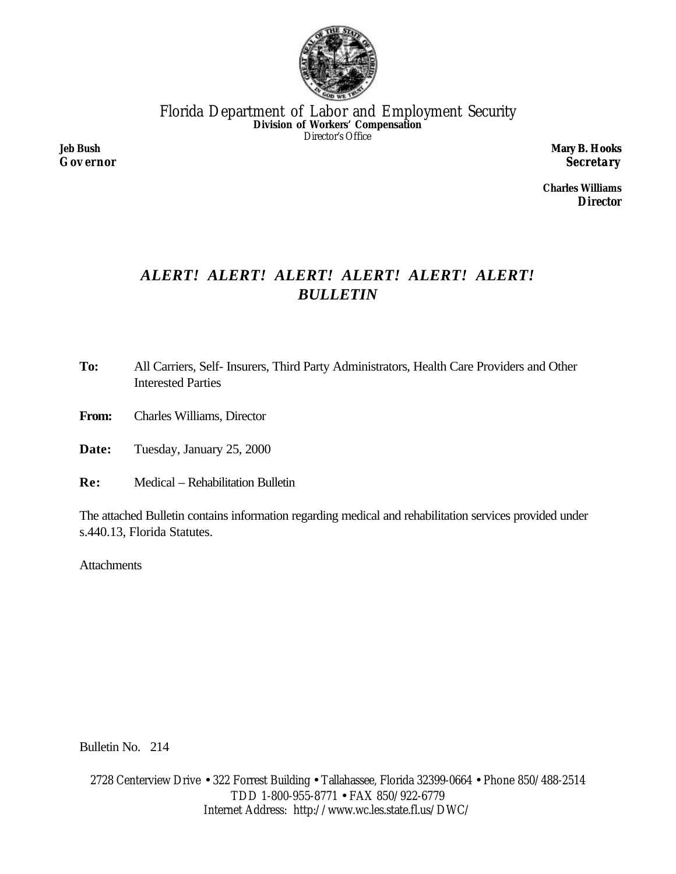

Florida Department of Labor and Employment Security **Division of Workers' Compensation** Director's Office

**Jeb Bush** *Governor* **Mary B. Hooks** *Secretary*

**Charles Williams** *Director*

# *ALERT! ALERT! ALERT! ALERT! ALERT! ALERT! BULLETIN*

- **To:** All Carriers, Self- Insurers, Third Party Administrators, Health Care Providers and Other Interested Parties
- **From:** Charles Williams, Director

**Date:** Tuesday, January 25, 2000

**Re:** Medical – Rehabilitation Bulletin

The attached Bulletin contains information regarding medical and rehabilitation services provided under s.440.13, Florida Statutes.

**Attachments** 

Bulletin No. 214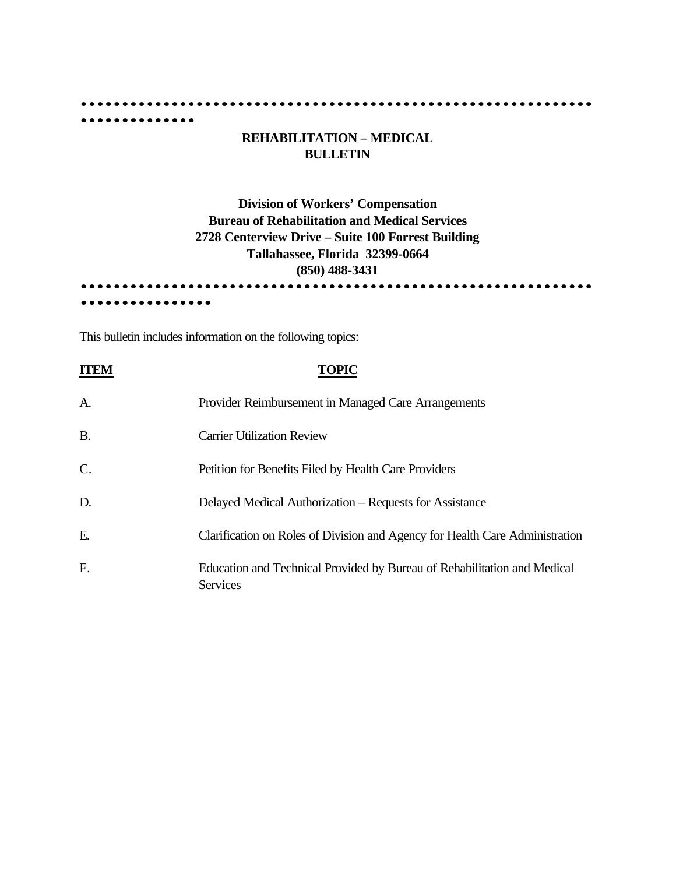#### **······························································**

## **REHABILITATION – MEDICAL BULLETIN**

# **Division of Workers' Compensation Bureau of Rehabilitation and Medical Services 2728 Centerview Drive – Suite 100 Forrest Building Tallahassee, Florida 32399-0664 (850) 488-3431 ······························································**

This bulletin includes information on the following topics:

**··············**

**················**

|           | TOPIC                                                                                       |
|-----------|---------------------------------------------------------------------------------------------|
| A.        | Provider Reimbursement in Managed Care Arrangements                                         |
| <b>B.</b> | <b>Carrier Utilization Review</b>                                                           |
| C.        | Petition for Benefits Filed by Health Care Providers                                        |
| D.        | Delayed Medical Authorization – Requests for Assistance                                     |
| Ε.        | Clarification on Roles of Division and Agency for Health Care Administration                |
| F.        | Education and Technical Provided by Bureau of Rehabilitation and Medical<br><b>Services</b> |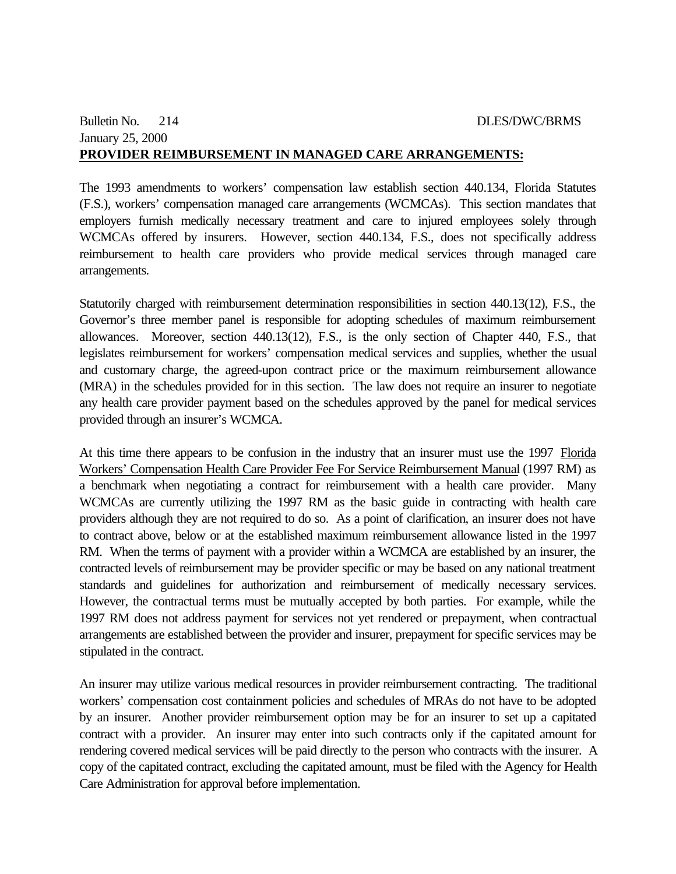#### Bulletin No. 214 DLES/DWC/BRMS January 25, 2000 **PROVIDER REIMBURSEMENT IN MANAGED CARE ARRANGEMENTS:**

The 1993 amendments to workers' compensation law establish section 440.134, Florida Statutes (F.S.), workers' compensation managed care arrangements (WCMCAs). This section mandates that employers furnish medically necessary treatment and care to injured employees solely through WCMCAs offered by insurers. However, section 440.134, F.S., does not specifically address reimbursement to health care providers who provide medical services through managed care arrangements.

Statutorily charged with reimbursement determination responsibilities in section 440.13(12), F.S., the Governor's three member panel is responsible for adopting schedules of maximum reimbursement allowances. Moreover, section 440.13(12), F.S., is the only section of Chapter 440, F.S., that legislates reimbursement for workers' compensation medical services and supplies, whether the usual and customary charge, the agreed-upon contract price or the maximum reimbursement allowance (MRA) in the schedules provided for in this section. The law does not require an insurer to negotiate any health care provider payment based on the schedules approved by the panel for medical services provided through an insurer's WCMCA.

At this time there appears to be confusion in the industry that an insurer must use the 1997 Florida Workers' Compensation Health Care Provider Fee For Service Reimbursement Manual (1997 RM) as a benchmark when negotiating a contract for reimbursement with a health care provider. Many WCMCAs are currently utilizing the 1997 RM as the basic guide in contracting with health care providers although they are not required to do so. As a point of clarification, an insurer does not have to contract above, below or at the established maximum reimbursement allowance listed in the 1997 RM. When the terms of payment with a provider within a WCMCA are established by an insurer, the contracted levels of reimbursement may be provider specific or may be based on any national treatment standards and guidelines for authorization and reimbursement of medically necessary services. However, the contractual terms must be mutually accepted by both parties. For example, while the 1997 RM does not address payment for services not yet rendered or prepayment, when contractual arrangements are established between the provider and insurer, prepayment for specific services may be stipulated in the contract.

An insurer may utilize various medical resources in provider reimbursement contracting. The traditional workers' compensation cost containment policies and schedules of MRAs do not have to be adopted by an insurer. Another provider reimbursement option may be for an insurer to set up a capitated contract with a provider. An insurer may enter into such contracts only if the capitated amount for rendering covered medical services will be paid directly to the person who contracts with the insurer. A copy of the capitated contract, excluding the capitated amount, must be filed with the Agency for Health Care Administration for approval before implementation.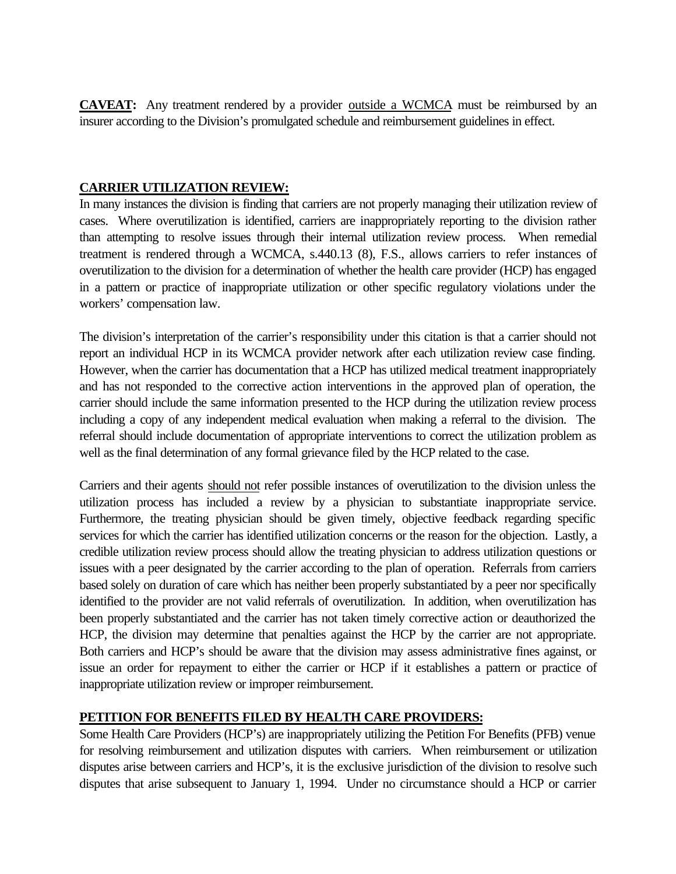**CAVEAT:** Any treatment rendered by a provider outside a WCMCA must be reimbursed by an insurer according to the Division's promulgated schedule and reimbursement guidelines in effect.

## **CARRIER UTILIZATION REVIEW:**

In many instances the division is finding that carriers are not properly managing their utilization review of cases. Where overutilization is identified, carriers are inappropriately reporting to the division rather than attempting to resolve issues through their internal utilization review process. When remedial treatment is rendered through a WCMCA, s.440.13 (8), F.S., allows carriers to refer instances of overutilization to the division for a determination of whether the health care provider (HCP) has engaged in a pattern or practice of inappropriate utilization or other specific regulatory violations under the workers' compensation law.

The division's interpretation of the carrier's responsibility under this citation is that a carrier should not report an individual HCP in its WCMCA provider network after each utilization review case finding. However, when the carrier has documentation that a HCP has utilized medical treatment inappropriately and has not responded to the corrective action interventions in the approved plan of operation, the carrier should include the same information presented to the HCP during the utilization review process including a copy of any independent medical evaluation when making a referral to the division. The referral should include documentation of appropriate interventions to correct the utilization problem as well as the final determination of any formal grievance filed by the HCP related to the case.

Carriers and their agents should not refer possible instances of overutilization to the division unless the utilization process has included a review by a physician to substantiate inappropriate service. Furthermore, the treating physician should be given timely, objective feedback regarding specific services for which the carrier has identified utilization concerns or the reason for the objection. Lastly, a credible utilization review process should allow the treating physician to address utilization questions or issues with a peer designated by the carrier according to the plan of operation. Referrals from carriers based solely on duration of care which has neither been properly substantiated by a peer nor specifically identified to the provider are not valid referrals of overutilization. In addition, when overutilization has been properly substantiated and the carrier has not taken timely corrective action or deauthorized the HCP, the division may determine that penalties against the HCP by the carrier are not appropriate. Both carriers and HCP's should be aware that the division may assess administrative fines against, or issue an order for repayment to either the carrier or HCP if it establishes a pattern or practice of inappropriate utilization review or improper reimbursement.

# **PETITION FOR BENEFITS FILED BY HEALTH CARE PROVIDERS:**

Some Health Care Providers (HCP's) are inappropriately utilizing the Petition For Benefits (PFB) venue for resolving reimbursement and utilization disputes with carriers. When reimbursement or utilization disputes arise between carriers and HCP's, it is the exclusive jurisdiction of the division to resolve such disputes that arise subsequent to January 1, 1994. Under no circumstance should a HCP or carrier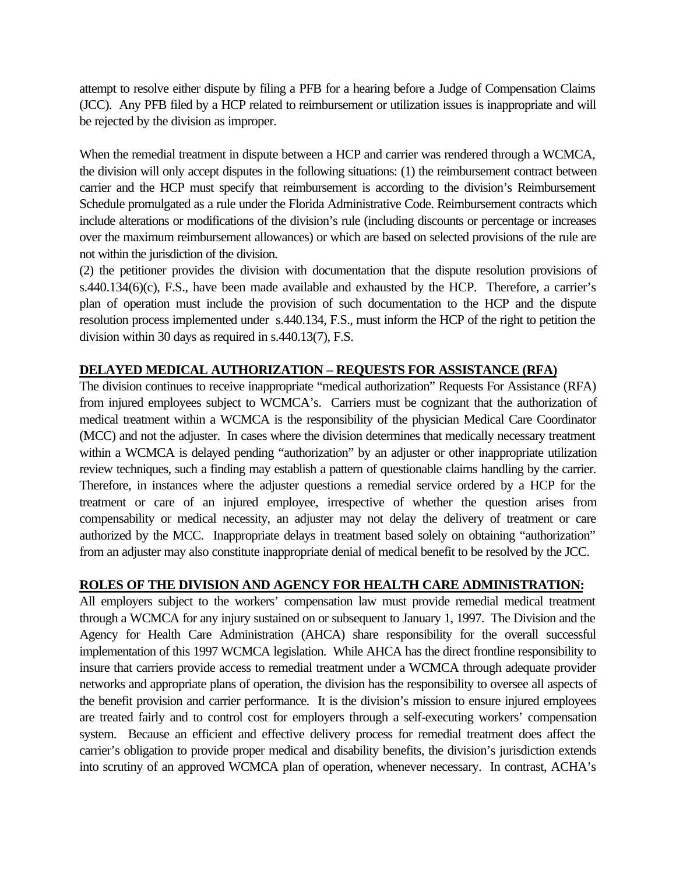attempt to resolve either dispute by filing a PFB for a hearing before a Judge of Compensation Claims (JCC). Any PFB filed by a HCP related to reimbursement or utilization issues is inappropriate and will be rejected by the division as improper.

When the remedial treatment in dispute between a HCP and carrier was rendered through a WCMCA, the division will only accept disputes in the following situations: (1) the reimbursement contract between carrier and the HCP must specify that reimbursement is according to the division's Reimbursement Schedule promulgated as a rule under the Florida Administrative Code. Reimbursement contracts which include alterations or modifications of the division's rule (including discounts or percentage or increases over the maximum reimbursement allowances) or which are based on selected provisions of the rule are not within the jurisdiction of the division.

(2) the petitioner provides the division with documentation that the dispute resolution provisions of s.440.134(6)(c), F.S., have been made available and exhausted by the HCP. Therefore, a carrier's plan of operation must include the provision of such documentation to the HCP and the dispute resolution process implemented under s.440.134, F.S., must inform the HCP of the right to petition the division within 30 days as required in s.440.13(7), F.S.

## **DELAYED MEDICAL AUTHORIZATION – REQUESTS FOR ASSISTANCE (RFA)**

The division continues to receive inappropriate "medical authorization" Requests For Assistance (RFA) from injured employees subject to WCMCA's. Carriers must be cognizant that the authorization of medical treatment within a WCMCA is the responsibility of the physician Medical Care Coordinator (MCC) and not the adjuster. In cases where the division determines that medically necessary treatment within a WCMCA is delayed pending "authorization" by an adjuster or other inappropriate utilization review techniques, such a finding may establish a pattern of questionable claims handling by the carrier. Therefore, in instances where the adjuster questions a remedial service ordered by a HCP for the treatment or care of an injured employee, irrespective of whether the question arises from compensability or medical necessity, an adjuster may not delay the delivery of treatment or care authorized by the MCC. Inappropriate delays in treatment based solely on obtaining "authorization" from an adjuster may also constitute inappropriate denial of medical benefit to be resolved by the JCC.

## **ROLES OF THE DIVISION AND AGENCY FOR HEALTH CARE ADMINISTRATION:**

All employers subject to the workers' compensation law must provide remedial medical treatment through a WCMCA for any injury sustained on or subsequent to January 1, 1997. The Division and the Agency for Health Care Administration (AHCA) share responsibility for the overall successful implementation of this 1997 WCMCA legislation. While AHCA has the direct frontline responsibility to insure that carriers provide access to remedial treatment under a WCMCA through adequate provider networks and appropriate plans of operation, the division has the responsibility to oversee all aspects of the benefit provision and carrier performance. It is the division's mission to ensure injured employees are treated fairly and to control cost for employers through a self-executing workers' compensation system. Because an efficient and effective delivery process for remedial treatment does affect the carrier's obligation to provide proper medical and disability benefits, the division's jurisdiction extends into scrutiny of an approved WCMCA plan of operation, whenever necessary. In contrast, ACHA's